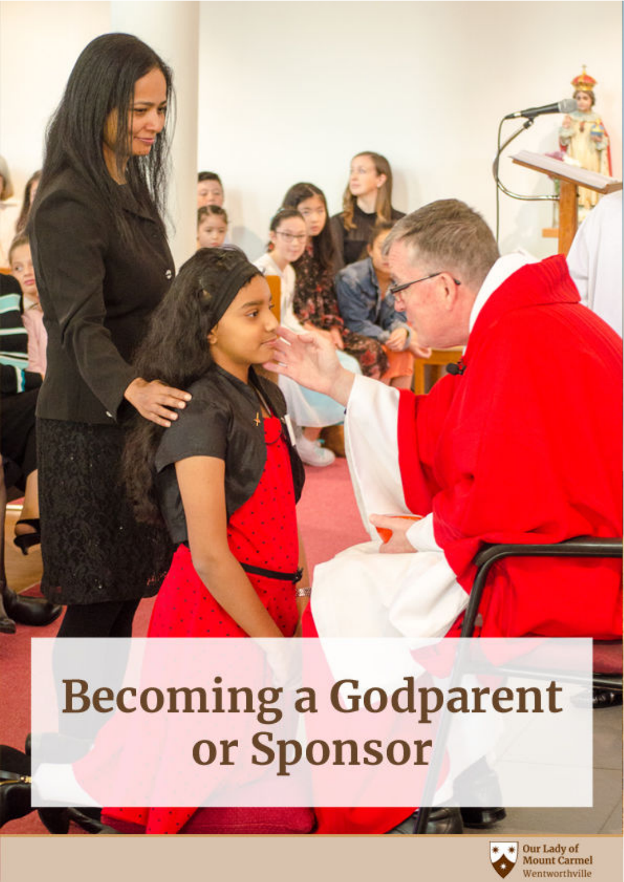# **Becoming a Godparent** or Sponsor



 $\equiv$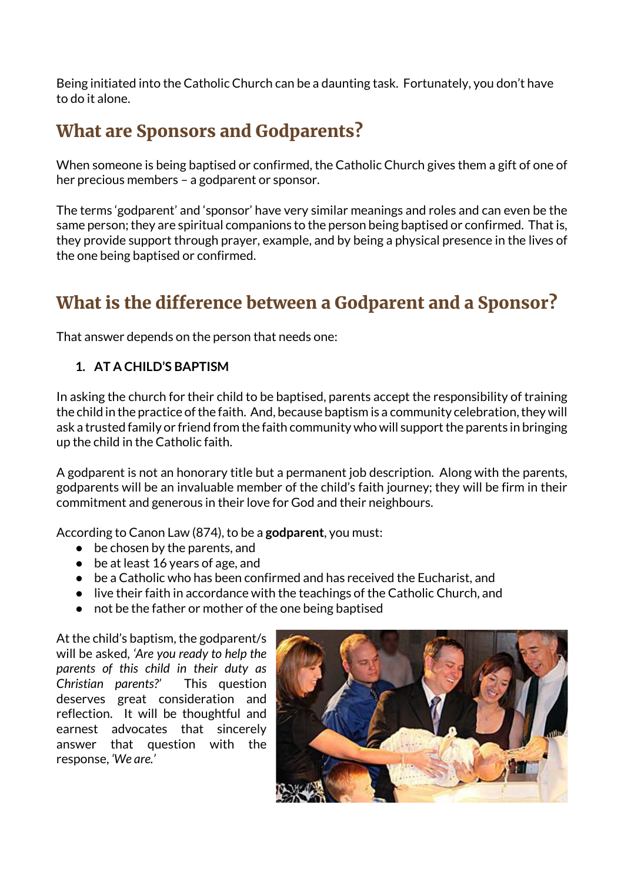Being initiated into the Catholic Church can be a daunting task. Fortunately, you don't have to do it alone.

# What are Sponsors and Godparents?

When someone is being baptised or confirmed, the Catholic Church gives them a gift of one of her precious members – a godparent or sponsor.

The terms 'godparent' and 'sponsor' have very similar meanings and roles and can even be the same person; they are spiritual companions to the person being baptised or confirmed. That is, they provide support through prayer, example, and by being a physical presence in the lives of the one being baptised or confirmed.

# What is the difference between a Godparent and a Sponsor?

That answer depends on the person that needs one:

### **1. AT A CHILD'S BAPTISM**

In asking the church for their child to be baptised, parents accept the responsibility of training the child in the practice of the faith. And, because baptism is a community celebration, they will ask a trusted family or friend from the faith community who will support the parents in bringing up the child in the Catholic faith.

A godparent is not an honorary title but a permanent job description. Along with the parents, godparents will be an invaluable member of the child's faith journey; they will be firm in their commitment and generous in their love for God and their neighbours.

According to Canon Law (874), to be a **godparent**, you must:

- $\bullet$  be chosen by the parents, and
- be at least 16 years of age, and
- be a Catholic who has been confirmed and has received the Eucharist, and
- live their faith in accordance with the teachings of the Catholic Church, and
- not be the father or mother of the one being baptised

At the child's baptism, the godparent/s will be asked*, 'Are you ready to help the parents of this child in their duty as Christian parents?'* This question deserves great consideration and reflection. It will be thoughtful and earnest advocates that sincerely answer that question with the response, *'We are.'*

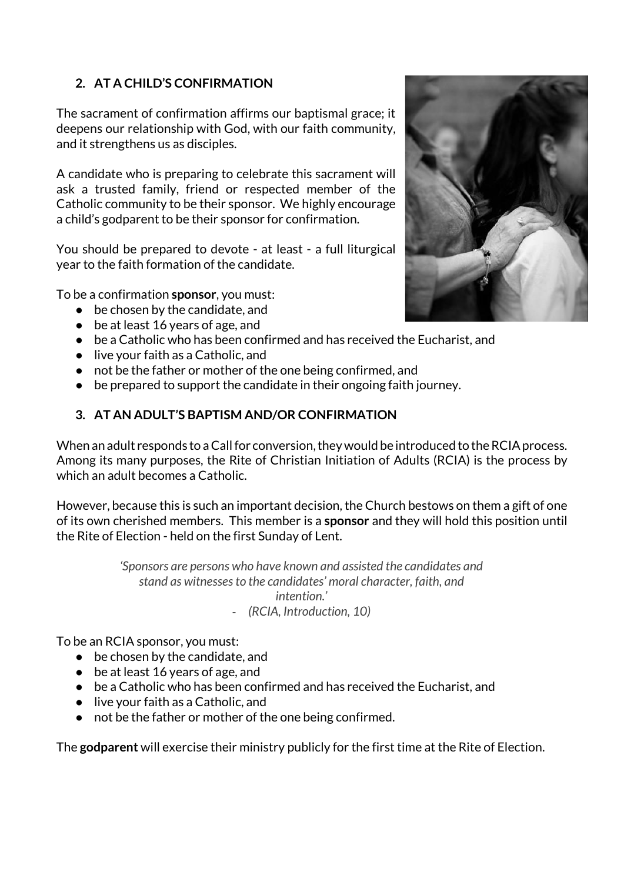#### **2. AT A CHILD'S CONFIRMATION**

The sacrament of confirmation affirms our baptismal grace; it deepens our relationship with God, with our faith community, and it strengthens us as disciples.

A candidate who is preparing to celebrate this sacrament will ask a trusted family, friend or respected member of the Catholic community to be their sponsor. We highly encourage a child's godparent to be their sponsor for confirmation.

You should be prepared to devote - at least - a full liturgical year to the faith formation of the candidate.

To be a confirmation **sponsor**, you must:

- $\bullet$  be chosen by the candidate, and
- be at least 16 years of age, and
- be a Catholic who has been confirmed and has received the Eucharist, and
- live your faith as a Catholic, and
- not be the father or mother of the one being confirmed, and
- be prepared to support the candidate in their ongoing faith journey.

#### **3. AT AN ADULT'S BAPTISM AND/OR CONFIRMATION**

When an adult responds to a Call for conversion, they would be introduced to the RCIA process. Among its many purposes, the Rite of Christian Initiation of Adults (RCIA) is the process by which an adult becomes a Catholic.

However, because this is such an important decision, the Church bestows on them a gift of one of its own cherished members. This member is a **sponsor** and they will hold this position until the Rite of Election - held on the first Sunday of Lent.

> *'Sponsors are persons who have known and assisted the candidates and stand as witnesses to the candidates' moral character, faith, and intention.'* - *(RCIA, Introduction, 10)*

To be an RCIA sponsor, you must:

- be chosen by the candidate, and
- be at least 16 years of age, and
- be a Catholic who has been confirmed and has received the Eucharist, and
- live your faith as a Catholic, and
- not be the father or mother of the one being confirmed.

The **godparent** will exercise their ministry publicly for the first time at the Rite of Election.

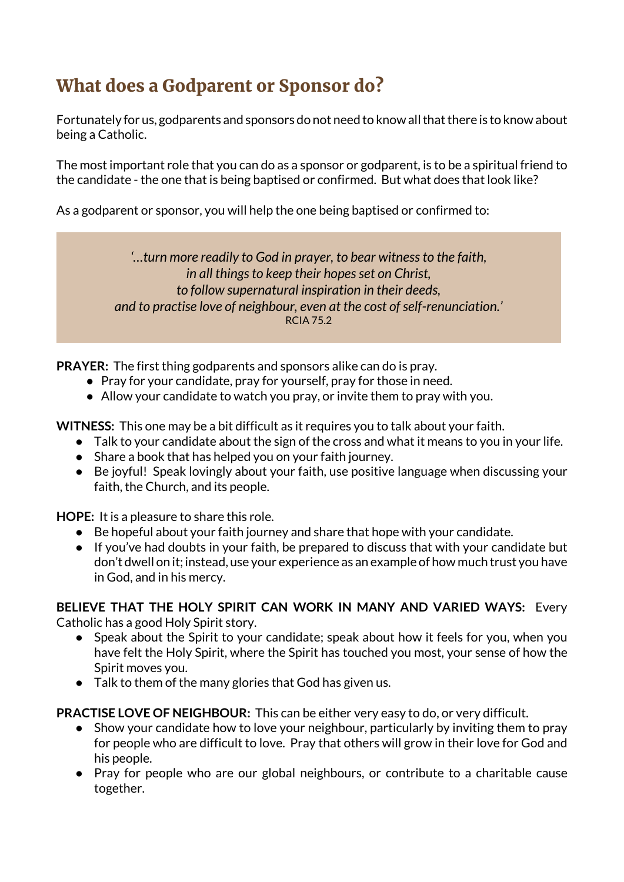# What does a Godparent or Sponsor do?

Fortunately for us, godparents and sponsors do not need to know all that there is to know about being a Catholic.

The most important role that you can do as a sponsor or godparent, is to be a spiritual friend to the candidate - the one that is being baptised or confirmed. But what does that look like?

As a godparent or sponsor, you will help the one being baptised or confirmed to:

*'…turn more readily to God in prayer, to bear witness to the faith, in all things to keep their hopes set on Christ, to follow supernatural inspiration in their deeds, and to practise love of neighbour, even at the cost of self-renunciation.'* RCIA 75.2

**PRAYER:** The first thing godparents and sponsors alike can do is pray.

- Pray for your candidate, pray for yourself, pray for those in need.
- Allow your candidate to watch you pray, or invite them to pray with you.

**WITNESS:** This one may be a bit difficult as it requires you to talk about your faith.

- Talk to your candidate about the sign of the cross and what it means to you in your life.
- Share a book that has helped you on your faith journey.
- Be joyful! Speak lovingly about your faith, use positive language when discussing your faith, the Church, and its people.

**HOPE:** It is a pleasure to share this role.

- Be hopeful about your faith journey and share that hope with your candidate.
- If you've had doubts in your faith, be prepared to discuss that with your candidate but don't dwell on it; instead, use your experience as an example of how much trust you have in God, and in his mercy.

**BELIEVE THAT THE HOLY SPIRIT CAN WORK IN MANY AND VARIED WAYS:** Every Catholic has a good Holy Spirit story.

- Speak about the Spirit to your candidate; speak about how it feels for you, when you have felt the Holy Spirit, where the Spirit has touched you most, your sense of how the Spirit moves you.
- Talk to them of the many glories that God has given us.

**PRACTISE LOVE OF NEIGHBOUR:** This can be either very easy to do, or very difficult.

- Show your candidate how to love your neighbour, particularly by inviting them to pray for people who are difficult to love. Pray that others will grow in their love for God and his people.
- Pray for people who are our global neighbours, or contribute to a charitable cause together.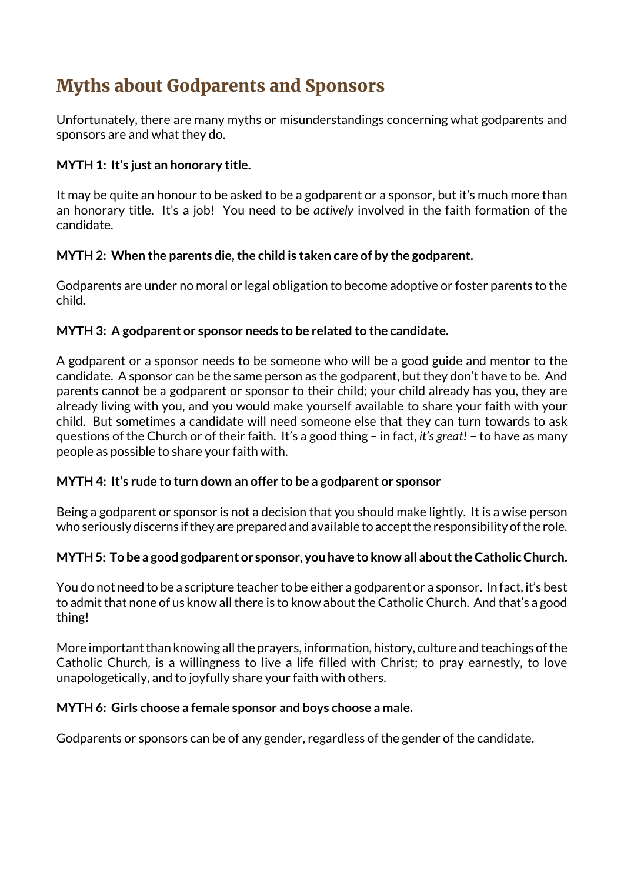# Myths about Godparents and Sponsors

Unfortunately, there are many myths or misunderstandings concerning what godparents and sponsors are and what they do.

#### **MYTH 1: It's just an honorary title.**

It may be quite an honour to be asked to be a godparent or a sponsor, but it's much more than an honorary title. It's a job! You need to be *actively* involved in the faith formation of the candidate.

#### **MYTH 2: When the parents die, the child is taken care of by the godparent.**

Godparents are under no moral or legal obligation to become adoptive or foster parents to the child.

#### **MYTH 3: A godparent or sponsor needs to be related to the candidate.**

A godparent or a sponsor needs to be someone who will be a good guide and mentor to the candidate. A sponsor can be the same person as the godparent, but they don't have to be. And parents cannot be a godparent or sponsor to their child; your child already has you, they are already living with you, and you would make yourself available to share your faith with your child. But sometimes a candidate will need someone else that they can turn towards to ask questions of the Church or of their faith. It's a good thing – in fact, *it's great!* – to have as many people as possible to share your faith with.

#### **MYTH 4: It's rude to turn down an offer to be a godparent or sponsor**

Being a godparent or sponsor is not a decision that you should make lightly. It is a wise person who seriously discerns if they are prepared and available to accept the responsibility of the role.

#### **MYTH 5: To be a good godparent or sponsor, you have to know all about the Catholic Church.**

You do not need to be a scripture teacher to be either a godparent or a sponsor. In fact, it's best to admit that none of us know all there is to know about the Catholic Church. And that's a good thing!

More important than knowing all the prayers, information, history, culture and teachings of the Catholic Church, is a willingness to live a life filled with Christ; to pray earnestly, to love unapologetically, and to joyfully share your faith with others.

#### **MYTH 6: Girls choose a female sponsor and boys choose a male.**

Godparents or sponsors can be of any gender, regardless of the gender of the candidate.